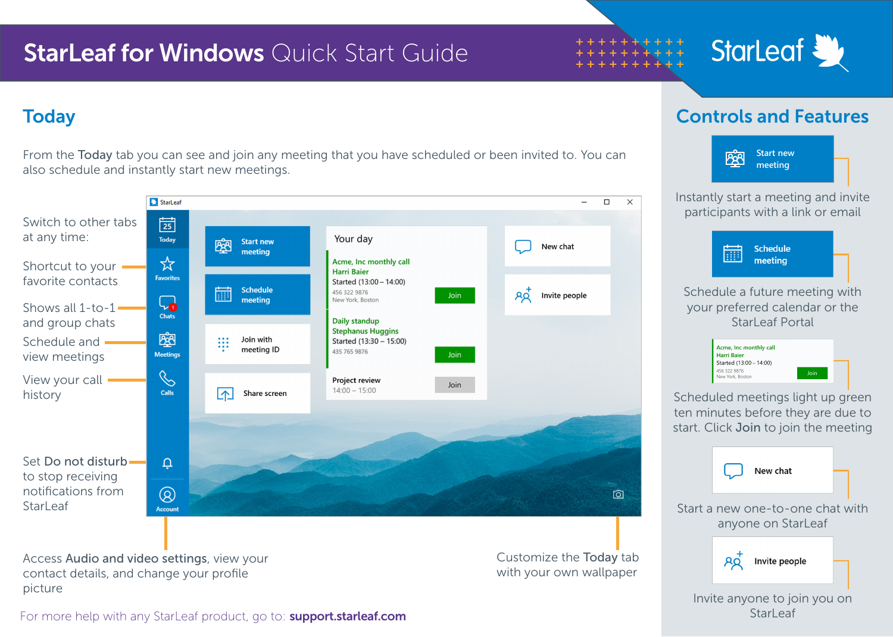## **StarLeaf for Windows** Quick Start Guide

# StarLeaf

From the Today tab you can see and join any meeting that you have scheduled or been invited to. You can also schedule and instantly start new meetings.



Access Audio and video settings, view your contact details, and change your profile picture

Customize the Today tab with your own wallpaper

### Today Controls and Features



Invite anyone to join you on **StarLeaf** 

For more help with any StarLeaf product, go to: **support.starleaf.com**